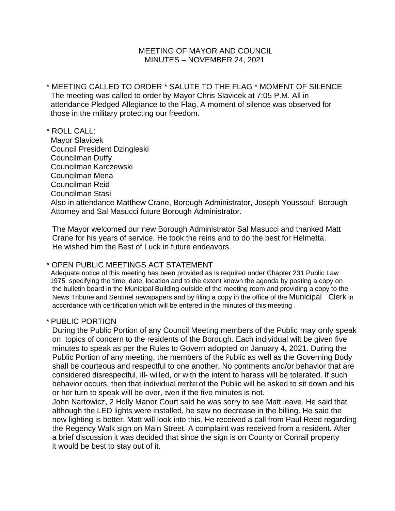## MEETING OF MAYOR AND COUNCIL MINUTES – NOVEMBER 24, 2021

- \* MEETING CALLED TO ORDER \* SALUTE TO THE FLAG \* MOMENT OF SILENCE The meeting was called to order by Mayor Chris Slavicek at 7:05 P.M. All in attendance Pledged Allegiance to the Flag. A moment of silence was observed for those in the military protecting our freedom.
- \* ROLL CALL:
- Mayor Slavicek Council President Dzingleski Councilman Duffy Councilman Karczewski Councilman Mena Councilman Reid Councilman Stasi Also in attendance Matthew Crane, Borough Administrator, Joseph Youssouf, Borough Attorney and Sal Masucci future Borough Administrator.

The Mayor welcomed our new Borough Administrator Sal Masucci and thanked Matt Crane for his years of service. He took the reins and to do the best for Helmetta. He wished him the Best of Luck in future endeavors.

## \* OPEN PUBLIC MEETINGS ACT STATEMENT

 Adequate notice of this meeting has been provided as is required under Chapter 231 Public Law 1975 specifying the time, date, location and to the extent known the agenda by posting a copy on the bulletin board in the Municipal Building outside of the meeting room and providing a copy to the News Tribune and Sentinel newspapers and by filing a copy in the office of the Municipal Clerk in accordance with certification which will be entered in the minutes of this meeting .

## \* PUBLIC PORTION

During the Public Portion of any Council Meeting members of the Public may only speak on topics of concern to the residents of the Borough. Each individual wilt be given five minutes to speak as per the Rules to Govern adopted on January 4**,** 2021. During the Public Portion of any meeting, the members of the Public as well as the Governing Body shall be courteous and respectful to one another. No comments and/or behavior that are considered disrespectful, ill- willed, or with the intent to harass will be tolerated. If such behavior occurs, then that individual member of the Public will be asked to sit down and his or her turn to speak will be over, even if the five minutes is not.

John Nartowicz, 2 Holly Manor Court said he was sorry to see Matt leave. He said that although the LED lights were installed, he saw no decrease in the billing. He said the new lighting is better. Matt will look into this. He received a call from Paul Reed regarding the Regency Walk sign on Main Street. A complaint was received from a resident. After a brief discussion it was decided that since the sign is on County or Conrail property it would be best to stay out of it.